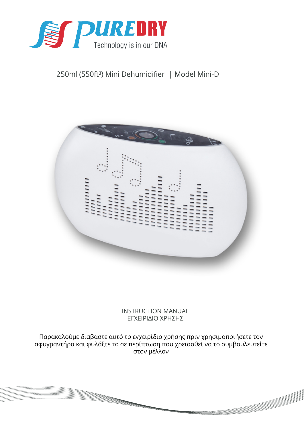

# 250ml (550ft<sup>3</sup>) Mini Dehumidifier | Model Mini-D



INSTRUCTION MANUAL ΕΓΧΕΙΡΙΔΙΟ ΧΡΗΣΗΣ

Παρακαλούμε διαβάστε αυτό το εγχειρίδιο χρήσης πριν χρησιμοποιήσετε τον αφυγραντήρα και φυλάξτε το σε περίπτωση που χρειασθεί να το συμβουλευτείτε στον μέλλον

<u>e de la compa</u>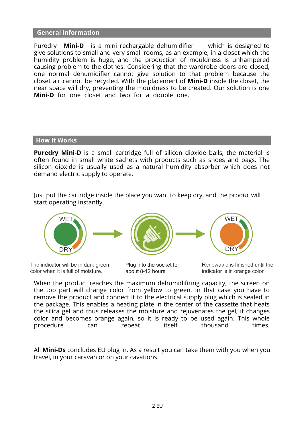#### **General Information**

Puredry **Mini-D** is a mini rechargable dehumidifier which is designed to give solutions to small and very small rooms, as an example, in a closet which the humidity problem is huge, and the production of mouldness is unhampered causing problem to the clothes. Considering that the wardrobe doors are closed, one normal dehumidifier cannot give solution to that problem because the closet air cannot be recycled. With the placement of **Mini-D** inside the closet, the near space will dry, preventing the mouldness to be created. Our solution is one **Mini-D** for one closet and two for a double one.

#### **How It Works**

**Puredry Mini-D** is a small cartridge full of silicon dioxide balls, the material is often found in small white sachets with products such as shoes and bags. The silicon dioxide is usually used as a natural humidity absorber which does not demand electric supply to operate.

Just put the cartridge inside the place you want to keep dry, and the produc will start operating instantly.



The indicator will be in dark green color when it is full of moisture.

Plug into the socket for about 8-12 hours.

Renewable is finished until the indicator is in orange color

When the product reaches the maximum dehumidifiring capacity, the screen on the top part will change color from yellow to green. In that case you have to remove the product and connect it to the electrical supply plug which is sealed in the package. This enables a heating plate in the center of the cassette that heats the silica gel and thus releases the moisture and rejuvenates the gel, it changes color and becomes orange again, so it is ready to be used again. This whole procedure can repeat itself thousand times.

All **Mini-Ds** concludes EU plug in. As a result you can take them with you when you travel, in your caravan or on your cavations.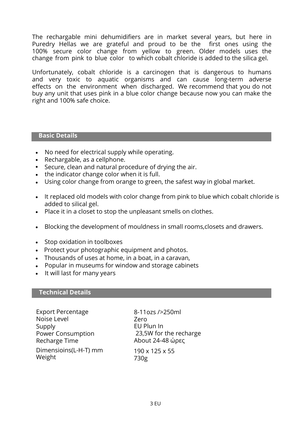The rechargable mini dehumidifiers are in market several years, but here in Puredry Hellas we are grateful and proud to be the first ones using the 100% secure color change from yellow to green. Older models uses the change from pink to blue color to which cobalt chloride is added to the silica gel.

Unfortunately, cobalt chloride is a carcinogen that is dangerous to humans and very toxic to aquatic organisms and can cause long-term adverse effects on the environment when discharged. We recommend that you do not buy any unit that uses pink in a blue color change because now you can make the right and 100% safe choice.

#### **Basic Details**

- No need for electrical supply while operating.
- Rechargable, as a cellphone.
- Secure, clean and natural procedure of drying the air.
- the indicator change color when it is full.
- Using color change from orange to green, the safest way in global market.
- It replaced old models with color change from pink to blue which cobalt chloride is added to silical gel.
- Place it in a closet to stop the unpleasant smells on clothes.
- Blocking the development of mouldness in small rooms,closets and drawers.
- Stop oxidation in toolboxes
- Protect your photographic equipment and photos.
- Thousands of uses at home, in a boat, in a caravan,
- Popular in museums for window and storage cabinets
- It will last for many years

#### **Technical Details**

Export Percentage Noise Level Supply Power Consumption Recharge Time Dimensioins(L-H-T) mm Weight

8-11ozs />250ml Zero EU Plun In 23,5W for the recharge About 24-48 ώρες 190 x 125 x 55

730g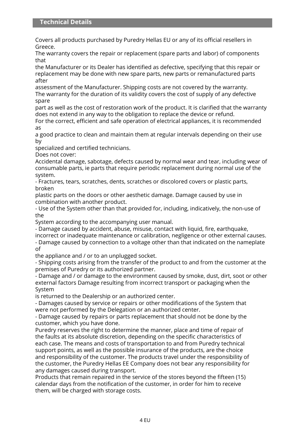Covers all products purchased by Puredry Hellas EU or any of its official resellers in Greece.

The warranty covers the repair or replacement (spare parts and labor) of components that

the Manufacturer or its Dealer has identified as defective, specifying that this repair or replacement may be done with new spare parts, new parts or remanufactured parts after

assessment of the Manufacturer. Shipping costs are not covered by the warranty. The warranty for the duration of its validity covers the cost of supply of any defective spare

part as well as the cost of restoration work of the product. It is clarified that the warranty does not extend in any way to the obligation to replace the device or refund.

For the correct, efficient and safe operation of electrical appliances, it is recommended as

a good practice to clean and maintain them at regular intervals depending on their use by

specialized and certified technicians.

Does not cover:

Accidental damage, sabotage, defects caused by normal wear and tear, including wear of consumable parts, ie parts that require periodic replacement during normal use of the system.

- Fractures, tears, scratches, dents, scratches or discolored covers or plastic parts, broken

plastic parts on the doors or other aesthetic damage. Damage caused by use in combination with another product.

- Use of the System other than that provided for, including, indicatively, the non-use of the

System according to the accompanying user manual.

- Damage caused by accident, abuse, misuse, contact with liquid, fire, earthquake,

incorrect or inadequate maintenance or calibration, negligence or other external causes. - Damage caused by connection to a voltage other than that indicated on the nameplate of

the appliance and / or to an unplugged socket.

- Shipping costs arising from the transfer of the product to and from the customer at the premises of Puredry or its authorized partner.

- Damage and / or damage to the environment caused by smoke, dust, dirt, soot or other external factors Damage resulting from incorrect transport or packaging when the System

is returned to the Dealership or an authorized center.

- Damages caused by service or repairs or other modifications of the System that were not performed by the Delegation or an authorized center.

- Damage caused by repairs or parts replacement that should not be done by the customer, which you have done.

Puredry reserves the right to determine the manner, place and time of repair of the faults at its absolute discretion, depending on the specific characteristics of each case. The means and costs of transportation to and from Puredry technical support points, as well as the possible insurance of the products, are the choice and responsibility of the customer. The products travel under the responsibility of the customer, the Puredry Hellas EE Company does not bear any responsibility for any damages caused during transport.

Products that remain repaired in the service of the stores beyond the fifteen (15) calendar days from the notification of the customer, in order for him to receive them, will be charged with storage costs.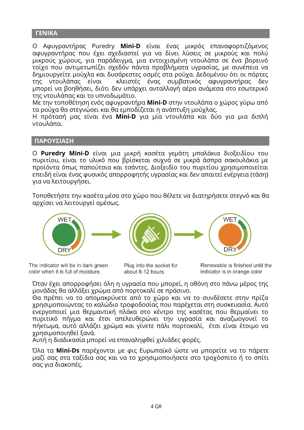## **ΓΕΝΙΚΑ**

Ο Αφυγραντήρας Puredry **Mini-D** είναι ένας μικρός επαναφορτιζόμενος αφυγραντήρας που έχει σχεδιαστεί για να δίνει λύσεις σε μικρούς και πολύ μικρούς χώρους, για παράδειγμα, μια εντοιχισμένη ντουλάπα σε ένα βορεινό τοίχο που αντιμετωπίζει σχεδόν πάντα προβλήματα υγρασίας, με συνέπεια να δημιουργείτε μούχλα και δυσάρεστες οσμές στα ρούχα. Δεδομένου ότι οι πόρτες της ντουλάπας είναι κλειστές ένας συμβατικός αφυγραντήρας δεν μπορεί να βοηθήσει, διότι δεν υπάρχει ανταλλαγή αέρα ανάμεσα στο εσωτερικό της ντουλάπας και το υπνοδωμάτιο.

Με την τοποθέτηση ενός αφυγραντήρα **Mini-D** στην ντουλάπα ο χώρος γύρω από τα ρούχα θα στεγνώσει και θα εμποδίζεται η ανάπτυξη μούχλας.

Η πρότασή μας είναι ένα **Mini-D** για μία ντουλάπα και δύο για μια διπλή ντουλάπα.

## **ΠΑΡΟΥΣΙΑΣΗ**

Ο **Puredry Mini-D** είναι μια μικρή κασέτα γεμάτη μπαλάκια διοξειδίου του πυριτίου, είναι το υλικό που βρίσκεται συχνά σε μικρά άσπρα σακουλάκια με προϊόντα όπως παπούτσια και τσάντες. Διοξειδίο του πυριτίου χρησιμοποιείται επειδή είναι ένας φυσικός απορροφητής υγρασίας και δεν απαιτεί ενέργεια (τάση) για να λειτουργήσει.

Τοποθετήστε την κασέτα μέσα στο χώρο που θέλετε να διατηρήσετε στεγνό και θα αρχίσει να λειτουργεί αμέσως.



The indicator will be in dark green color when it is full of moisture.

Plug into the socket for about 8-12 hours.

Renewable is finished until the indicator is in orange color

Όταν έχει απορροφήσει όλη η υγρασία που μπορεί, η οθόνη στο πάνω μέρος της μονάδας θα αλλάξει χρώμα από πορτοκαλί σε πράσινο.

Θα πρέπει να το απομακρύνετε από το χώρο και να το συνδέσετε στην πρίζα χρησιμοποιώντας το καλώδιο τροφοδοσίας που παρέχεται στη συσκευασία. Αυτό ενεργοποιεί μια θερμαντική πλάκα στο κέντρο της κασέτας που θερμαίνει το πυριτικό πήγμα και έτσι απελευθερώνει την υγρασία και αναζωογονεί το πήκτωμα, αυτό αλλάζει χρώμα και γίνετε πάλι πορτοκαλί, έτσι είναι έτοιμο να χρησιμοποιηθεί ξανά.

Αυτή η διαδικασία μπορεί να επαναληφθεί χιλιάδες φορές.

Όλα τα **Mini-Ds** παρέχονται με φις Ευρωπαϊκό ώστε να μπορείτε να το πάρετε μαζί σας στα ταξίδια σας και να το χρησιμοποιήσετε στο τροχόσπιτο ή το σπίτι σας για διακοπές.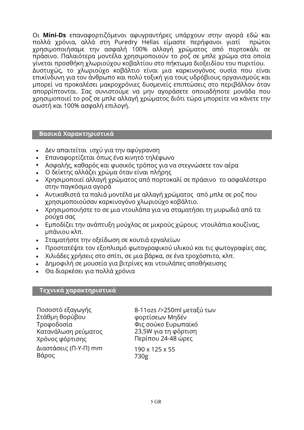Οι **Mini-Ds** επαναφορτιζόμενοι αφυγραντήρες υπάρχουν στην αγορά εδώ και πολλά χρόνια, αλλά στη Puredry Hellas είμαστε περήφανοι γιατί χρησιμοποιήσαμε την ασφαλή 100% αλλαγή χρώματος από πορτοκάλι σε πράσινο. Παλαιότερα μοντέλα χρησιμοποιούν το ροζ σε μπλε χρώμα στα οποία γίνεται προσθήκη χλωριούχου κοβαλτίου στο πήκτωμα διοξειδίου του πυριτίου. Δυστυχώς, το χλωριούχο κοβάλτιο είναι μια καρκινογόνος ουσία που είναι επικίνδυνη για τον άνθρωπο και πολύ τοξική για τους υδρόβιους οργανισμούς και μπορεί να προκαλέσει μακροχρόνιες δυσμενείς επιπτώσεις στο περιβάλλον όταν απορρίπτονται. Σας συνιστούμε να μην αγοράσετε οποιαδήποτε μονάδα που χρησιμοποιεί το ροζ σε μπλε αλλαγή χρώματος διότι τώρα μπορείτε να κάνετε την σωστή και 100% ασφαλή επιλογή.

## **Βασικά Χαρακτηριστικά**

- Δεν απαιτείται ισχύ για την αφύγρανση
- Επαναφορτίζεται όπως ένα κινητό τηλέφωνο
- Ασφαλής, καθαρός και φυσικός τρόπος για να στεγνώσετε τον αέρα
- Ο δείκτης αλλάζει χρώμα όταν είναι πλήρης
- Χρησιμοποιεί αλλαγή χρώματος από πορτοκαλί σε πράσινο το ασφαλέστερο στην παγκόσμια αγορά
- Αντικαθιστά τα παλιά μοντέλα με αλλαγή χρώματος από μπλε σε ροζ που χρησιμοποιούσαν καρκινογόνο χλωριούχο κοβάλτιο.
- Χρησιμοποιήστε το σε μια ντουλάπα για να σταματήσει τη μυρωδιά από τα ρούχα σας
- Εμποδίζει την ανάπτυξη μούχλας σε μικρούς χώρους ντουλάπια κουζίνας, μπάνιου κλπ.
- Σταματήστε την οξείδωση σε κουτιά εργαλείων
- Προστατέψτε τον εξοπλισμό φωτογραφικού υλικού και τις φωτογραφίες σας.
- Χιλιάδες χρήσεις στο σπίτι, σε μια βάρκα, σε ένα τροχόσπιτο, κλπ.
- Δημοφιλή σε μουσεία για βιτρίνες και ντουλάπες αποθήκευσης
- Θα διαρκέσει για πολλά χρόνια

#### **Τεχνικά χαρακτηριστικά**

Ποσοστό εξαγωγής Στάθμη θορύβου Τροφοδοσία Κατανάλωση ρεύματος Χρόνος φόρτισης Διαστάσεις (Π-Υ-Π) mm Βάρος

8-11ozs />250ml μεταξύ των φορτίσεων Μηδέν Φις σούκο Ευρωπαϊκό 23,5W για τη φόρτιση Περίπου 24-48 ώρες

190 x 125 x 55 730g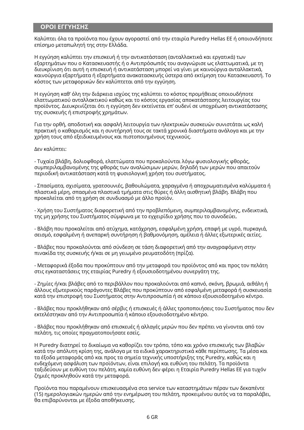## **ΟΡΟΙ ΕΓΓΥΗΣΗΣ**

Καλύπτει όλα τα προϊόντα που έχουν αγοραστεί από την εταιρία Puredry Hellas ΕΕ ή οποιονδήποτε επίσημο μεταπωλητή της στην Ελλάδα.

Η εγγύηση καλύπτει την επισκευή ή την αντικατάσταση (ανταλλακτικά και εργατικά) των εξαρτημάτων που ο Κατασκευαστής ή ο Αντιπρόσωπός του αναγνώρισε ως ελαττωματικά, με τη διευκρίνιση ότι αυτή η επισκευή ή αντικατάσταση μπορεί να γίνει με καινούργια ανταλλακτικά, καινούργια εξαρτήματα ή εξαρτήματα ανακατασκευής ύστερα από εκτίμηση του Κατασκευαστή. Το κόστος των μεταφορικών δεν καλύπτεται από την εγγύηση.

Η εγγύηση καθ' όλη την διάρκεια ισχύος της καλύπτει το κόστος προμήθειας οποιουδήποτε ελαττωματικού ανταλλακτικού καθώς και το κόστος εργασίας αποκατάστασης λειτουργίας του προϊόντος. Διευκρινίζεται ότι η εγγύηση δεν εκτείνεται επ' ουδενί σε υποχρέωση αντικατάστασης της συσκευής ή επιστροφής χρημάτων.

Για την ορθή, αποδοτική και ασφαλή λειτουργία των ηλεκτρικών συσκευών συνιστάται ως καλή πρακτική ο καθαρισμός και η συντήρησή τους σε τακτά χρονικά διαστήματα ανάλογα και με την χρήση τους από εξειδικευμένους και πιστοποιημένους τεχνικούς.

Δεν καλύπτει:

- Τυχαία βλάβη, δολιοφθορά, ελαττώματα που προκαλούνται λόγω φυσιολογικής φθοράς, συμπεριλαμβανομένης της φθοράς των αναλώσιμων μερών, δηλαδή των μερών που απαιτούν περιοδική αντικατάσταση κατά τη φυσιολογική χρήση του συστήματος.

- Σπασίματα, σχισίματα, γρατσουνιές, βαθουλώματα, χαραγμένα ή αποχρωματισμένα καλύμματα ή πλαστικά μέρη, σπασμένα πλαστικά τμήματα στις θύρες ή άλλη αισθητική βλάβη. Βλάβη που προκαλείται από τη χρήση σε συνδυασμό με άλλο προϊόν.

- Χρήση του Συστήματος διαφορετική από την προβλεπόμενη, συμπεριλαμβανομένης, ενδεικτικά, της μη χρήσης του Συστήματος σύμφωνα με το εγχειρίδιο χρήσης που το συνοδεύει.

- Βλάβη που προκαλείται από ατύχημα, κατάχρηση, εσφαλμένη χρήση, επαφή με υγρό, πυρκαγιά, σεισμό, εσφαλμένη ή ανεπαρκή συντήρηση ή βαθμονόμηση, αμέλεια ή άλλες εξωτερικές αιτίες.

- Βλάβες που προκαλούνται από σύνδεση σε τάση διαφορετική από την αναγραφόμενη στην πινακίδα της συσκευής ή/και σε μη γειωμένο ρευματοδότη (πρίζα).

- Μεταφορικά έξοδα που προκύπτουν από την μεταφορά του προϊόντος από και προς τον πελάτη στις εγκαταστάσεις της εταιρίας Puredry ή εξουσιοδοτημένου συνεργάτη της.

- Ζημίες ή/και βλάβες από το περιβάλλον που προκαλούνται από καπνό, σκόνη, βρωμιά, αιθάλη ή άλλους εξωτερικούς παράγοντες Βλάβες που προκύπτουν από εσφαλμένη μεταφορά ή συσκευασία κατά την επιστροφή του Συστήματος στην Αντιπροσωπία ή σε κάποιο εξουσιοδοτημένο κέντρο.

- Βλάβες που προκλήθηκαν από σέρβις ή επισκευές ή άλλες τροποποιήσεις του Συστήματος που δεν εκτελέστηκαν από την Αντιπροσωπία ή κάποιο εξουσιοδοτημένο κέντρο.

- Βλάβες που προκλήθηκαν από επισκευές ή αλλαγές μερών που δεν πρέπει να γίνονται από τον πελάτη, τις οποίες πραγματοποιήσατε εσείς.

Η Puredry διατηρεί το δικαίωμα να καθορίζει τον τρόπο, τόπο και χρόνο επισκευής των βλαβών κατά την απόλυτη κρίση της, ανάλογα με τα ειδικά χαρακτηριστικά κάθε περίπτωσης. Τα μέσα και τα έξοδα μεταφοράς από και προς τα σημεία τεχνικής υποστήριξης της Puredry, καθώς και η ενδεχόμενη ασφάλιση των προϊόντων, είναι επιλογή και ευθύνη του πελάτη. Τα προϊόντα ταξιδεύουν με ευθύνη του πελάτη, καμία ευθύνη δεν φέρει η Εταιρία Puredry Hellas EE για τυχόν ζημιές προκληθούν κατά την μεταφορά.

Προϊόντα που παραμένουν επισκευασμένα στα service των καταστημάτων πέραν των δεκαπέντε (15) ημερολογιακών ημερών από την ενημέρωση του πελάτη, προκειμένου αυτός να τα παραλάβει, θα επιβαρύνονται με έξοδα αποθήκευσης.